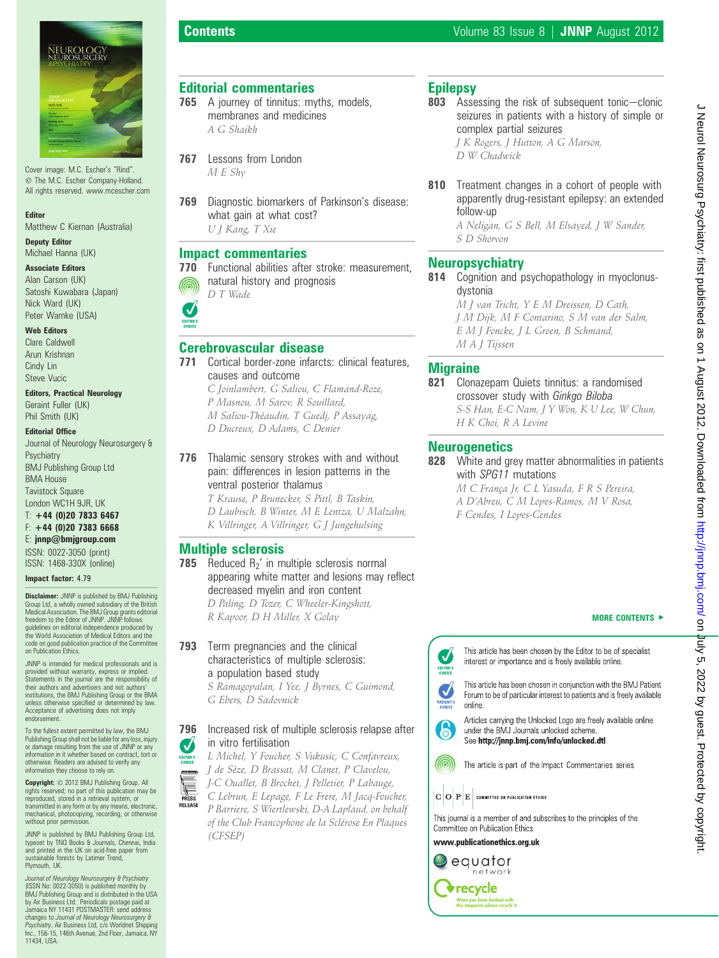

Cover image: M.C. Escher's "Rind". The M.C. Escher Company-Holland. All rights reserved. www.mcescher.com

### Editor

Matthew C Kiernan (Australia)

### Deputy Editor Michael Hanna (UK)

Associate Editors Alan Carson (UK) Satoshi Kuwabara (Japan) Nick Ward (UK) Peter Warnke (USA)

### Web Editors

Clare Caldwell Arun Krishnan Cindy Lin Steve Vucic

# Editors, Practical Neurology

Geraint Fuller (UK) Phil Smith (UK)

### Editorial Office

Journal of Neurology Neurosurgery & Psychiatry BMJ Publishing Group Ltd BMA House Tavistock Square London WC1H 9JR, UK  $T: +44 (0)20 7833 6467$ 

# F: +44 (0)20 7383 6668

E: jnnp@bmjgroup.com ISSN: 0022-3050 (print) ISSN: 1468-330X (online)

### Impact factor: 4.79

**Disclaimer:** JNNP is published by BMJ Publishing Group Ltd, a wholly owned subsidiary of the British Medical Association. The BMJ Group grants editorial freedom to the Editor of JNNP. JNNP follows guidelines on editorial independence produced by the World Association of Medical Editors and the code on good publication practice of the Committee on Publication Ethics.

JNNP is intended for medical professionals and is provided without warranty, express or implied. Statements in the journal are the responsibility of their authors and advertisers and not authors' institutions, the BMJ Publishing Group or the BMA unless otherwise specified or determined by law. Acceptance of advertising does not imply endorsement.

To the fullest extent permitted by law, the BMJ Publishing Group shall not be liable for any loss, injury or damage resulting from the use of JNNP or any information in it whether based on contract, tort or otherwise. Readers are advised to verify any information they choose to rely on.

Copyright:  $© 2012$  BMJ Publishing Group. All rights reserved; no part of this publication may be reproduced, stored in a retrieval system, or transmitted in any form or by any means, electronic, mechanical, photocopying, recording, or otherwise without prior permission.

JNNP is published by BMJ Publishing Group Ltd, typeset by TNQ Books & Journals, Chennai, India and printed in the UK on acid-free paper from sustainable forests by Latimer Trend, Plymouth, UK.

Journal of Neurology Neurosurgery & Psychiatry (ISSN No: 0022-3050) is published monthly by BMJ Publishing Group and is distributed in the USA by Air Business Ltd. Periodicals postage paid at Jamaica NY 11431 POSTMASTER: send address changes to *Journal of Neurology Neurosurgery &*<br>*Psychiatry, A*ir Business Ltd, c/o Worldnet Shipping<br>Inc., 156-15, 146th Avenue, 2nd Floor, Jamaica, NY 11434, USA.

# Editorial commentaries

- 765 A journey of tinnitus: myths, models, membranes and medicines A G Shaikh
- 767 Lessons from London M E Shy
- 769 Diagnostic biomarkers of Parkinson's disease: what gain at what cost? U J Kang, T Xie

# Impact commentaries

770 Functional abilities after stroke: measurement, natural history and prognosis ⋒ D T Wade



# Cerebrovascular disease

- 771 Cortical border-zone infarcts: clinical features, causes and outcome C Joinlambert, G Saliou, C Flamand-Roze, P Masnou, M Sarov, R Souillard, M Saliou-Théaudin, T Guedj, P Assayag, D Ducreux, D Adams, C Denier
- 776 Thalamic sensory strokes with and without pain: differences in lesion patterns in the ventral posterior thalamus

T Krause, P Brunecker, S Pittl, B Taskin, D Laubisch, B Winter, M E Lentza, U Malzahn, K Villringer, A Villringer, G J Jungehulsing

# Multiple sclerosis

**785** Reduced  $R_2$ ' in multiple sclerosis normal appearing white matter and lesions may reflect decreased myelin and iron content

D Paling, D Tozer, C Wheeler-Kingshott, R Kapoor, D H Miller, X Golay

# 793 Term pregnancies and the clinical characteristics of multiple sclerosis: a population based study

S Ramagopalan, I Yee, J Byrnes, C Guimond, G Ebers, D Sadovnick

### 796 Increased risk of multiple sclerosis relapse after in vitro fertilisation V

L Michel, Y Foucher, S Vukusic, C Confavreux, EDITOR'S J de Sèze, D Brassat, M Clanet, P Clavelou, J-C Ouallet, B Brochet, J Pelletier, P Labauge,

PRESS<br>PRESS<br>RELEASE C Lebrun, E Lepage, F Le Frere, M Jacq-Foucher, P Barriere, S Wiertlewski, D-A Laplaud, on behalf of the Club Francophone de la Sclérose En Plaques (CFSEP)

803 Assessing the risk of subsequent tonic-clonic seizures in patients with a history of simple or complex partial seizures J K Rogers, J Hutton, A G Marson,

D W Chadwick

810 Treatment changes in a cohort of people with apparently drug-resistant epilepsy: an extended follow-up

A Neligan, G S Bell, M Elsayed, J W Sander, S D Shorvon

# **Neuropsychiatry**

814 Cognition and psychopathology in myoclonusdystonia

M J van Tricht, Y E M Dreissen, D Cath, J M Dijk, M F Contarino, S M van der Salm, E M J Foncke, J L Groen, B Schmand, M A J Tijssen

# **Migraine**

821 Clonazepam Quiets tinnitus: a randomised crossover study with Ginkgo Biloba S-S Han, E-C Nam, J Y Won, K U Lee, W Chun, H K Choi, R A Levine

# **Neurogenetics**

828 White and grey matter abnormalities in patients with SPG11 mutations

> M C França Jr, C L Yasuda, F R S Pereira, A D'Abreu, C M Lopes-Ramos, M V Rosa, F Cendes, I Lopes-Cendes

### MORE CONTENTS  $\blacktriangleright$

This article has been chosen by the Editor to be of specialist interest or importance and is freely available online.

This article has been chosen in conjunction with the BMJ Patient Forum to be of particular interest to patients and is freely available online



 $\boldsymbol{\mathcal{N}}$ 

EDITOR'S

J

Articles carrying the Unlocked Logo are freely available online under the BMJ Journals unlocked scheme. See http://jnnp.bmj.com/info/unlocked.dtl

The article is part of the Impact Commentaries series

Committee on Publication Ethics www.publicationethics.org.uk equator network

> **v**recycle .<br>When you have finished with<br>this magazine please recycle it